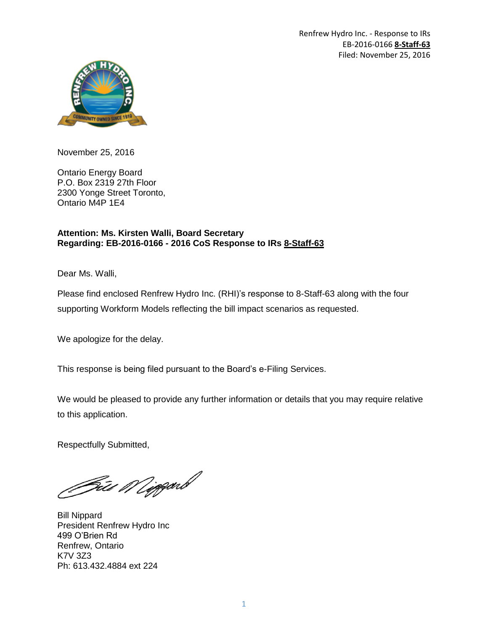Renfrew Hydro Inc. - Response to IRs EB-2016-0166 **8-Staff-63** Filed: November 25, 2016



November 25, 2016

Ontario Energy Board P.O. Box 2319 27th Floor 2300 Yonge Street Toronto, Ontario M4P 1E4

## **Attention: Ms. Kirsten Walli, Board Secretary Regarding: EB-2016-0166 - 2016 CoS Response to IRs 8-Staff-63**

Dear Ms. Walli,

Please find enclosed Renfrew Hydro Inc. (RHI)'s response to 8-Staff-63 along with the four supporting Workform Models reflecting the bill impact scenarios as requested.

We apologize for the delay.

This response is being filed pursuant to the Board's e-Filing Services.

We would be pleased to provide any further information or details that you may require relative to this application.

Respectfully Submitted,

Git*i Migg*arb

Bill Nippard President Renfrew Hydro Inc 499 O'Brien Rd Renfrew, Ontario K7V 3Z3 Ph: 613.432.4884 ext 224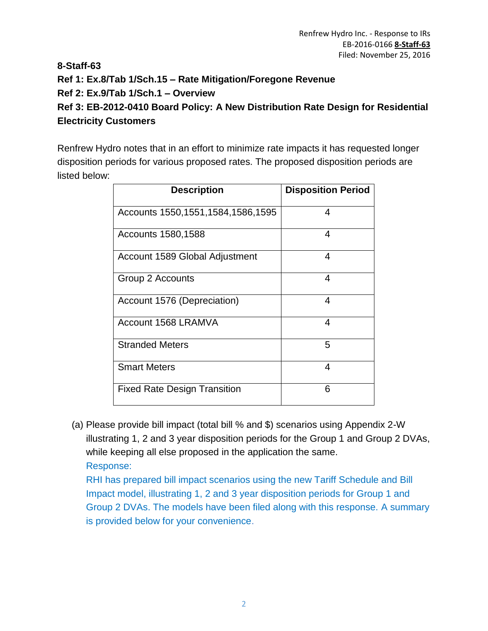# **8-Staff-63 Ref 1: Ex.8/Tab 1/Sch.15 – Rate Mitigation/Foregone Revenue Ref 2: Ex.9/Tab 1/Sch.1 – Overview Ref 3: EB-2012-0410 Board Policy: A New Distribution Rate Design for Residential Electricity Customers**

Renfrew Hydro notes that in an effort to minimize rate impacts it has requested longer disposition periods for various proposed rates. The proposed disposition periods are listed below:

| <b>Description</b>                    | <b>Disposition Period</b> |
|---------------------------------------|---------------------------|
| Accounts 1550, 1551, 1584, 1586, 1595 | 4                         |
| Accounts 1580, 1588                   | 4                         |
| Account 1589 Global Adjustment        | 4                         |
| Group 2 Accounts                      | 4                         |
| Account 1576 (Depreciation)           | 4                         |
| Account 1568 LRAMVA                   | 4                         |
| <b>Stranded Meters</b>                | 5                         |
| <b>Smart Meters</b>                   | 4                         |
| <b>Fixed Rate Design Transition</b>   | 6                         |

(a) Please provide bill impact (total bill % and \$) scenarios using Appendix 2-W illustrating 1, 2 and 3 year disposition periods for the Group 1 and Group 2 DVAs, while keeping all else proposed in the application the same.

Response:

RHI has prepared bill impact scenarios using the new Tariff Schedule and Bill Impact model, illustrating 1, 2 and 3 year disposition periods for Group 1 and Group 2 DVAs. The models have been filed along with this response. A summary is provided below for your convenience.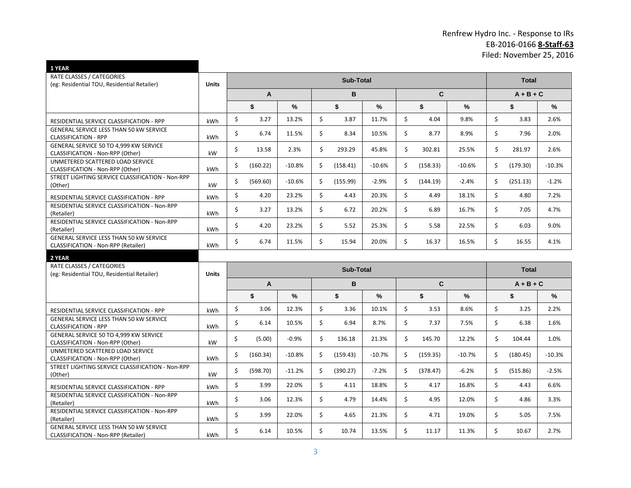# Renfrew Hydro Inc. - Response to IRs EB-2016-0166 **8-Staff-63** Filed: November 25, 2016

| 1 YEAR                                                                                       |            |                  |                        |          |    |                  |          |             |              |          |    |              |          |
|----------------------------------------------------------------------------------------------|------------|------------------|------------------------|----------|----|------------------|----------|-------------|--------------|----------|----|--------------|----------|
| <b>RATE CLASSES / CATEGORIES</b><br>(eg: Residential TOU, Residential Retailer)              | Units      | <b>Sub-Total</b> |                        |          |    |                  |          |             | <b>Total</b> |          |    |              |          |
|                                                                                              |            | $\overline{A}$   |                        | B        |    | C.               |          | $A + B + C$ |              |          |    |              |          |
|                                                                                              |            |                  | \$                     | ℅        |    | \$               | %        |             | \$           | %        |    | \$           | ℅        |
| RESIDENTIAL SERVICE CLASSIFICATION - RPP                                                     | kWh        | \$               | 3.27                   | 13.2%    | \$ | 3.87             | 11.7%    | \$          | 4.04         | 9.8%     | \$ | 3.83         | 2.6%     |
| <b>GENERAL SERVICE LESS THAN 50 KW SERVICE</b><br><b>CLASSIFICATION - RPP</b>                | kWh        | Ś.               | 6.74                   | 11.5%    | Ś. | 8.34             | 10.5%    | Ś.          | 8.77         | 8.9%     | \$ | 7.96         | 2.0%     |
| GENERAL SERVICE 50 TO 4,999 KW SERVICE<br>CLASSIFICATION - Non-RPP (Other)                   | kW         | \$               | 13.58                  | 2.3%     | \$ | 293.29           | 45.8%    | \$          | 302.81       | 25.5%    | \$ | 281.97       | 2.6%     |
| UNMETERED SCATTERED LOAD SERVICE<br>CLASSIFICATION - Non-RPP (Other)                         | kWh        | \$               | (160.22)               | $-10.8%$ | \$ | (158.41)         | $-10.6%$ | \$          | (158.33)     | $-10.6%$ | \$ | (179.30)     | $-10.3%$ |
| STREET LIGHTING SERVICE CLASSIFICATION - Non-RPP<br>(Other)                                  | kW         | Ś.               | (569.60)               | $-10.6%$ | Ś. | (155.99)         | $-2.9%$  | Ś.          | (144.19)     | $-2.4%$  | \$ | (251.13)     | $-1.2%$  |
| RESIDENTIAL SERVICE CLASSIFICATION - RPP                                                     | <b>kWh</b> | \$               | 4.20                   | 23.2%    | \$ | 4.43             | 20.3%    | \$          | 4.49         | 18.1%    | \$ | 4.80         | 7.2%     |
| RESIDENTIAL SERVICE CLASSIFICATION - Non-RPP<br>(Retailer)                                   | kWh        | \$               | 3.27                   | 13.2%    | \$ | 6.72             | 20.2%    | \$          | 6.89         | 16.7%    | \$ | 7.05         | 4.7%     |
| RESIDENTIAL SERVICE CLASSIFICATION - Non-RPP<br>(Retailer)                                   | kWh        | Ś.               | 4.20                   | 23.2%    | Ś. | 5.52             | 25.3%    | \$          | 5.58         | 22.5%    | \$ | 6.03         | 9.0%     |
| GENERAL SERVICE LESS THAN 50 kW SERVICE<br>CLASSIFICATION - Non-RPP (Retailer)               | kWh        | Ś.               | 6.74                   | 11.5%    | Ś. | 15.94            | 20.0%    | Ś.          | 16.37        | 16.5%    | Ś. | 16.55        | 4.1%     |
| 2 YEAR                                                                                       |            |                  |                        |          |    |                  |          |             |              |          |    |              |          |
| RATE CLASSES / CATEGORIES<br>(eg: Residential TOU, Residential Retailer)                     | Units      |                  |                        |          |    | <b>Sub-Total</b> |          |             |              |          |    | <b>Total</b> |          |
|                                                                                              |            |                  | B<br>$\mathbf{C}$<br>A |          |    |                  |          | $A + B + C$ |              |          |    |              |          |
|                                                                                              |            |                  | \$                     | %        |    | \$               | %        |             | \$           | %        |    | \$           | ℅        |
| RESIDENTIAL SERVICE CLASSIFICATION - RPP                                                     | kWh        | \$               | 3.06                   | 12.3%    | \$ | 3.36             | 10.1%    | \$          | 3.53         | 8.6%     | \$ | 3.25         | 2.2%     |
| <b>GENERAL SERVICE LESS THAN 50 KW SERVICE</b><br><b>CLASSIFICATION - RPP</b>                | kWh        | Ś.               | 6.14                   | 10.5%    | \$ | 6.94             | 8.7%     | \$          | 7.37         | 7.5%     | \$ | 6.38         | 1.6%     |
| GENERAL SERVICE 50 TO 4.999 KW SERVICE<br>CLASSIFICATION - Non-RPP (Other)                   | kW         | \$               | (5.00)                 | $-0.9%$  | \$ | 136.18           | 21.3%    | \$          | 145.70       | 12.2%    | \$ | 104.44       | 1.0%     |
| UNMETERED SCATTERED LOAD SERVICE<br>CLASSIFICATION - Non-RPP (Other)                         | kWh        | Ś.               | (160.34)               | $-10.8%$ | \$ | (159.43)         | $-10.7%$ | \$          | (159.35)     | $-10.7%$ | \$ | (180.45)     | $-10.3%$ |
| STREET LIGHTING SERVICE CLASSIFICATION - Non-RPP<br>(Other)                                  | kW         | Ś.               | (598.70)               | $-11.2%$ | Ŝ. | (390.27)         | $-7.2%$  | Ś.          | (378.47)     | $-6.2%$  | \$ | (515.86)     | $-2.5%$  |
| RESIDENTIAL SERVICE CLASSIFICATION - RPP                                                     | kWh        | \$               | 3.99                   | 22.0%    | \$ | 4.11             | 18.8%    | \$          | 4.17         | 16.8%    | \$ | 4.43         | 6.6%     |
| RESIDENTIAL SERVICE CLASSIFICATION - Non-RPP<br>(Retailer)                                   | kWh        | \$               | 3.06                   | 12.3%    | \$ | 4.79             | 14.4%    | \$          | 4.95         | 12.0%    | \$ | 4.86         | 3.3%     |
| RESIDENTIAL SERVICE CLASSIFICATION - Non-RPP<br>(Retailer)                                   | kWh        | Ś.               | 3.99                   | 22.0%    | Ś. | 4.65             | 21.3%    | Ś.          | 4.71         | 19.0%    | \$ | 5.05         | 7.5%     |
| <b>GENERAL SERVICE LESS THAN 50 KW SERVICE</b><br><b>CLASSIFICATION - Non-RPP (Retailer)</b> | <b>kWh</b> | Ś.               | 6.14                   | 10.5%    | Ś. | 10.74            | 13.5%    | Ś.          | 11.17        | 11.3%    | Ś. | 10.67        | 2.7%     |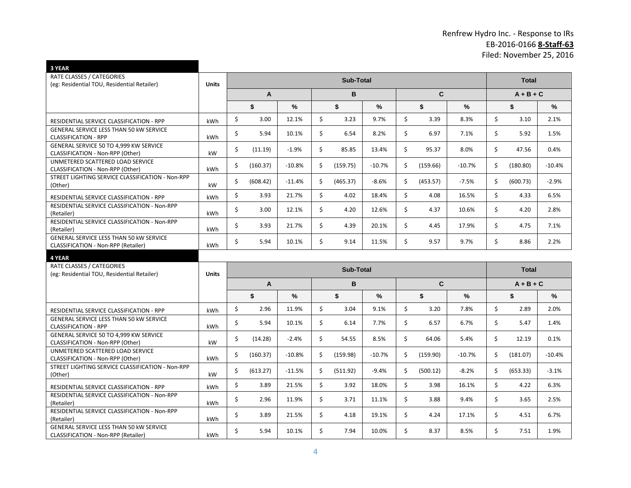# Renfrew Hydro Inc. - Response to IRs EB-2016-0166 **8-Staff-63** Filed: November 25, 2016

| 3 YEAR                                                                                                       |              |    |                |          |    |                  |          |             |          |          |    |              |          |
|--------------------------------------------------------------------------------------------------------------|--------------|----|----------------|----------|----|------------------|----------|-------------|----------|----------|----|--------------|----------|
| RATE CLASSES / CATEGORIES                                                                                    | <b>Units</b> |    |                |          |    | <b>Sub-Total</b> |          |             |          |          |    | <b>Total</b> |          |
| (eg: Residential TOU, Residential Retailer)                                                                  |              | A  |                | B        |    | C.               |          | $A + B + C$ |          |          |    |              |          |
|                                                                                                              |              |    | \$             | %        |    | \$               | %        |             | \$       |          |    |              | %        |
|                                                                                                              |              |    |                |          |    |                  |          |             |          | %        |    | \$           |          |
| RESIDENTIAL SERVICE CLASSIFICATION - RPP                                                                     | kWh          | \$ | 3.00           | 12.1%    | Ŝ. | 3.23             | 9.7%     | \$          | 3.39     | 8.3%     | \$ | 3.10         | 2.1%     |
| <b>GENERAL SERVICE LESS THAN 50 KW SERVICE</b><br><b>CLASSIFICATION - RPP</b>                                | kWh          | \$ | 5.94           | 10.1%    | \$ | 6.54             | 8.2%     | Ś.          | 6.97     | 7.1%     | \$ | 5.92         | 1.5%     |
| GENERAL SERVICE 50 TO 4,999 KW SERVICE<br>CLASSIFICATION - Non-RPP (Other)                                   | kW           | \$ | (11.19)        | $-1.9%$  | \$ | 85.85            | 13.4%    | \$          | 95.37    | 8.0%     | \$ | 47.56        | 0.4%     |
| UNMETERED SCATTERED LOAD SERVICE<br>CLASSIFICATION - Non-RPP (Other)                                         | kWh          | Ś. | (160.37)       | $-10.8%$ | Ŝ. | (159.75)         | $-10.7%$ | \$          | (159.66) | $-10.7%$ | \$ | (180.80)     | $-10.4%$ |
| STREET LIGHTING SERVICE CLASSIFICATION - Non-RPP<br>(Other)                                                  | kW           | Ś. | (608.42)       | $-11.4%$ | Ś. | (465.37)         | $-8.6%$  | \$          | (453.57) | $-7.5%$  | \$ | (600.73)     | $-2.9%$  |
| RESIDENTIAL SERVICE CLASSIFICATION - RPP                                                                     | kWh          | \$ | 3.93           | 21.7%    | \$ | 4.02             | 18.4%    | \$          | 4.08     | 16.5%    | \$ | 4.33         | 6.5%     |
| RESIDENTIAL SERVICE CLASSIFICATION - Non-RPP<br>(Retailer)                                                   | kWh          | \$ | 3.00           | 12.1%    | \$ | 4.20             | 12.6%    | \$          | 4.37     | 10.6%    | \$ | 4.20         | 2.8%     |
| RESIDENTIAL SERVICE CLASSIFICATION - Non-RPP<br>(Retailer)                                                   | kWh          | \$ | 3.93           | 21.7%    | \$ | 4.39             | 20.1%    | Ś.          | 4.45     | 17.9%    | \$ | 4.75         | 7.1%     |
| <b>GENERAL SERVICE LESS THAN 50 KW SERVICE</b><br>CLASSIFICATION - Non-RPP (Retailer)                        | kWh          | Ś. | 5.94           | 10.1%    | Ś. | 9.14             | 11.5%    | Ś.          | 9.57     | 9.7%     | Ś. | 8.86         | 2.2%     |
|                                                                                                              |              |    |                |          |    |                  |          |             |          |          |    |              |          |
| 4 YEAR                                                                                                       |              |    |                |          |    |                  |          |             |          |          |    |              |          |
| RATE CLASSES / CATEGORIES                                                                                    |              |    |                |          |    | <b>Sub-Total</b> |          |             |          |          |    | <b>Total</b> |          |
| (eg: Residential TOU, Residential Retailer)                                                                  | <b>Units</b> |    | $\overline{A}$ |          |    | B                |          |             | C.       |          |    | $A + B + C$  |          |
|                                                                                                              |              |    | \$             | %        |    | \$               | %        |             | \$       | $\%$     |    | \$           | %        |
| RESIDENTIAL SERVICE CLASSIFICATION - RPP                                                                     | kWh          | \$ | 2.96           | 11.9%    | \$ | 3.04             | 9.1%     | \$          | 3.20     | 7.8%     | \$ | 2.89         | 2.0%     |
| <b>GENERAL SERVICE LESS THAN 50 KW SERVICE</b><br><b>CLASSIFICATION - RPP</b>                                | kWh          | \$ | 5.94           | 10.1%    | \$ | 6.14             | 7.7%     | \$          | 6.57     | 6.7%     | \$ | 5.47         | 1.4%     |
| GENERAL SERVICE 50 TO 4.999 KW SERVICE<br>CLASSIFICATION - Non-RPP (Other)                                   | kW           | \$ | (14.28)        | $-2.4%$  | \$ | 54.55            | 8.5%     | \$          | 64.06    | 5.4%     | \$ | 12.19        | 0.1%     |
| UNMETERED SCATTERED LOAD SERVICE<br>CLASSIFICATION - Non-RPP (Other)                                         | kWh          | Ś. | (160.37)       | $-10.8%$ | Ŝ. | (159.98)         | $-10.7%$ | Ś.          | (159.90) | $-10.7%$ | \$ | (181.07)     | $-10.4%$ |
| STREET LIGHTING SERVICE CLASSIFICATION - Non-RPP<br>(Other)                                                  | kW           | Ś. | (613.27)       | $-11.5%$ | Ś. | (511.92)         | $-9.4%$  | Ś.          | (500.12) | $-8.2%$  | Ŝ. | (653.33)     | $-3.1%$  |
| RESIDENTIAL SERVICE CLASSIFICATION - RPP                                                                     | kWh          | \$ | 3.89           | 21.5%    | \$ | 3.92             | 18.0%    | \$          | 3.98     | 16.1%    | \$ | 4.22         | 6.3%     |
| RESIDENTIAL SERVICE CLASSIFICATION - Non-RPP<br>(Retailer)                                                   | kWh          | \$ | 2.96           | 11.9%    | \$ | 3.71             | 11.1%    | \$          | 3.88     | 9.4%     | \$ | 3.65         | 2.5%     |
| RESIDENTIAL SERVICE CLASSIFICATION - Non-RPP<br>(Retailer)<br><b>GENERAL SERVICE LESS THAN 50 KW SERVICE</b> | kWh          | \$ | 3.89           | 21.5%    | \$ | 4.18             | 19.1%    | \$          | 4.24     | 17.1%    | \$ | 4.51         | 6.7%     |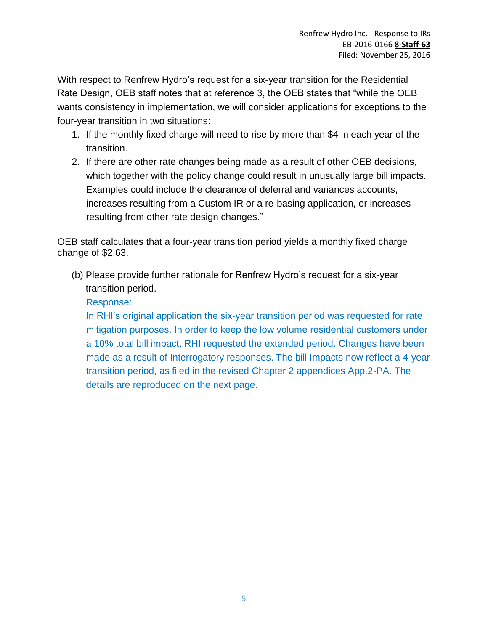With respect to Renfrew Hydro's request for a six-year transition for the Residential Rate Design, OEB staff notes that at reference 3, the OEB states that "while the OEB wants consistency in implementation, we will consider applications for exceptions to the four-year transition in two situations:

- 1. If the monthly fixed charge will need to rise by more than \$4 in each year of the transition.
- 2. If there are other rate changes being made as a result of other OEB decisions, which together with the policy change could result in unusually large bill impacts. Examples could include the clearance of deferral and variances accounts, increases resulting from a Custom IR or a re-basing application, or increases resulting from other rate design changes."

OEB staff calculates that a four-year transition period yields a monthly fixed charge change of \$2.63.

(b) Please provide further rationale for Renfrew Hydro's request for a six-year transition period.

# Response:

In RHI's original application the six-year transition period was requested for rate mitigation purposes. In order to keep the low volume residential customers under a 10% total bill impact, RHI requested the extended period. Changes have been made as a result of Interrogatory responses. The bill Impacts now reflect a 4-year transition period, as filed in the revised Chapter 2 appendices App.2-PA. The details are reproduced on the next page.